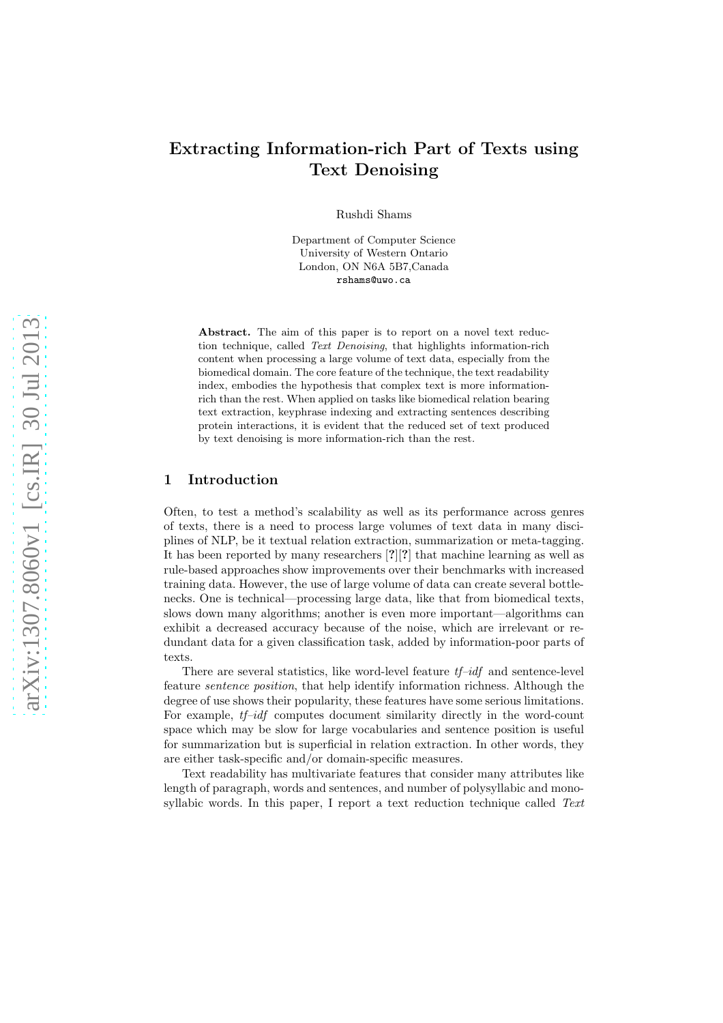# Extracting Information-rich Part of Texts using Text Denoising

Rushdi Shams

Department of Computer Science University of Western Ontario London, ON N6A 5B7,Canada rshams@uwo.ca

Abstract. The aim of this paper is to report on a novel text reduction technique, called Text Denoising, that highlights information-rich content when processing a large volume of text data, especially from the biomedical domain. The core feature of the technique, the text readability index, embodies the hypothesis that complex text is more informationrich than the rest. When applied on tasks like biomedical relation bearing text extraction, keyphrase indexing and extracting sentences describing protein interactions, it is evident that the reduced set of text produced by text denoising is more information-rich than the rest.

#### 1 Introduction

Often, to test a method's scalability as well as its performance across genres of texts, there is a need to process large volumes of text data in many disciplines of NLP, be it textual relation extraction, summarization or meta-tagging. It has been reported by many researchers [?][?] that machine learning as well as rule-based approaches show improvements over their benchmarks with increased training data. However, the use of large volume of data can create several bottlenecks. One is technical—processing large data, like that from biomedical texts, slows down many algorithms; another is even more important—algorithms can exhibit a decreased accuracy because of the noise, which are irrelevant or redundant data for a given classification task, added by information-poor parts of texts.

There are several statistics, like word-level feature  $tf-idf$  and sentence-level feature sentence position, that help identify information richness. Although the degree of use shows their popularity, these features have some serious limitations. For example,  $tf-idf$  computes document similarity directly in the word-count space which may be slow for large vocabularies and sentence position is useful for summarization but is superficial in relation extraction. In other words, they are either task-specific and/or domain-specific measures.

Text readability has multivariate features that consider many attributes like length of paragraph, words and sentences, and number of polysyllabic and monosyllabic words. In this paper, I report a text reduction technique called Text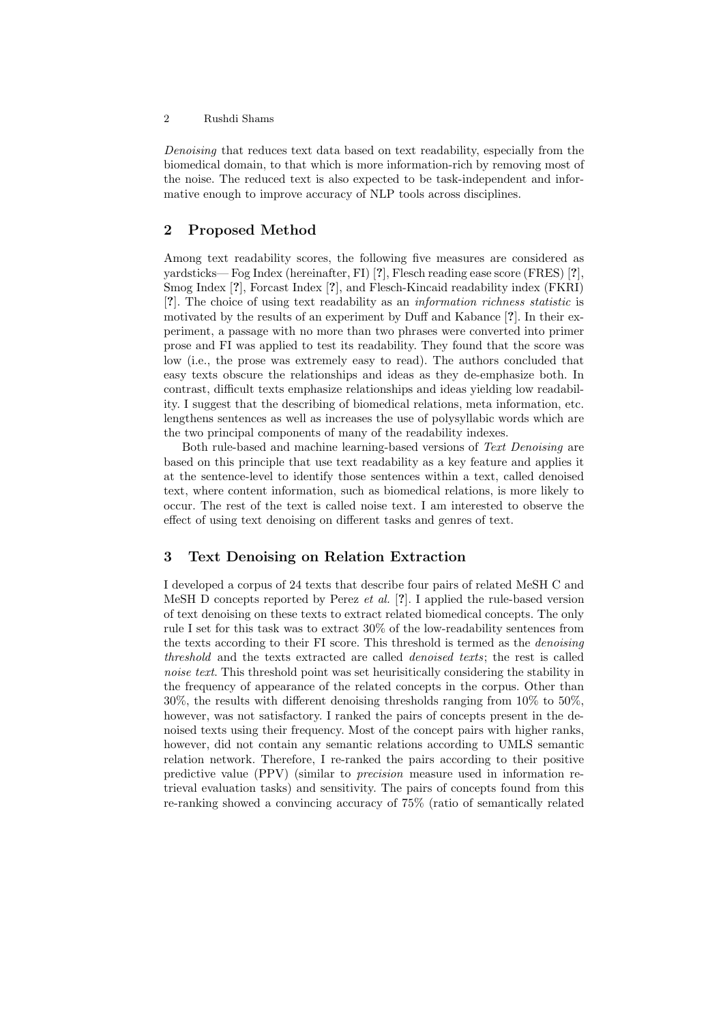#### 2 Rushdi Shams

Denoising that reduces text data based on text readability, especially from the biomedical domain, to that which is more information-rich by removing most of the noise. The reduced text is also expected to be task-independent and informative enough to improve accuracy of NLP tools across disciplines.

### <span id="page-1-0"></span>2 Proposed Method

Among text readability scores, the following five measures are considered as yardsticks— Fog Index (hereinafter, FI) [?], Flesch reading ease score (FRES) [?], Smog Index [?], Forcast Index [?], and Flesch-Kincaid readability index (FKRI) [?]. The choice of using text readability as an information richness statistic is motivated by the results of an experiment by Duff and Kabance [?]. In their experiment, a passage with no more than two phrases were converted into primer prose and FI was applied to test its readability. They found that the score was low (i.e., the prose was extremely easy to read). The authors concluded that easy texts obscure the relationships and ideas as they de-emphasize both. In contrast, difficult texts emphasize relationships and ideas yielding low readability. I suggest that the describing of biomedical relations, meta information, etc. lengthens sentences as well as increases the use of polysyllabic words which are the two principal components of many of the readability indexes.

Both rule-based and machine learning-based versions of Text Denoising are based on this principle that use text readability as a key feature and applies it at the sentence-level to identify those sentences within a text, called denoised text, where content information, such as biomedical relations, is more likely to occur. The rest of the text is called noise text. I am interested to observe the effect of using text denoising on different tasks and genres of text.

#### 3 Text Denoising on Relation Extraction

I developed a corpus of 24 texts that describe four pairs of related MeSH C and MeSH D concepts reported by Perez *et al.* [?]. I applied the rule-based version of text denoising on these texts to extract related biomedical concepts. The only rule I set for this task was to extract 30% of the low-readability sentences from the texts according to their FI score. This threshold is termed as the *denoising* threshold and the texts extracted are called denoised texts; the rest is called noise text. This threshold point was set heurisitically considering the stability in the frequency of appearance of the related concepts in the corpus. Other than 30%, the results with different denoising thresholds ranging from 10% to 50%, however, was not satisfactory. I ranked the pairs of concepts present in the denoised texts using their frequency. Most of the concept pairs with higher ranks, however, did not contain any semantic relations according to UMLS semantic relation network. Therefore, I re-ranked the pairs according to their positive predictive value (PPV) (similar to precision measure used in information retrieval evaluation tasks) and sensitivity. The pairs of concepts found from this re-ranking showed a convincing accuracy of 75% (ratio of semantically related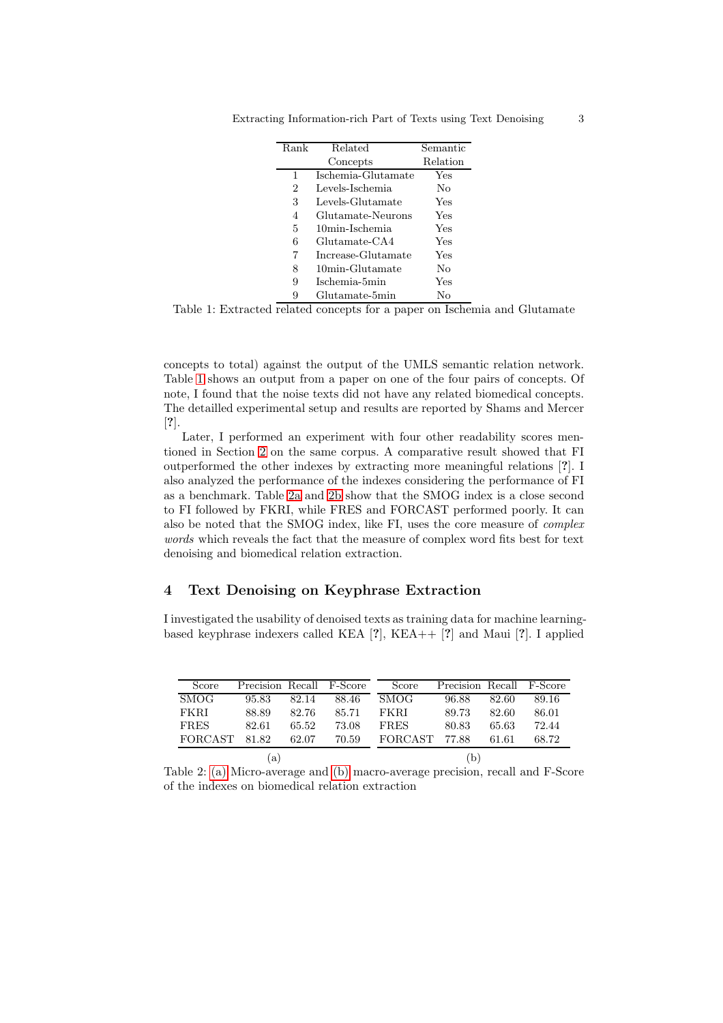| Rank           | Related            | Semantic |
|----------------|--------------------|----------|
|                | Concepts           | Relation |
| 1              | Ischemia-Glutamate | Yes      |
| $\overline{2}$ | Levels-Ischemia    | Nο       |
| 3              | Levels-Glutamate   | Yes      |
| 4              | Glutamate-Neurons  | Yes      |
| 5              | 10min-Ischemia     | Yes      |
| 6              | Glutamate-CA4      | Yes      |
| 7              | Increase-Glutamate | Yes      |
| 8              | 10min-Glutamate    | No       |
| 9              | Ischemia-5min      | Yes      |
| 9              | Glutamate-5min     | Nο       |

<span id="page-2-0"></span>Extracting Information-rich Part of Texts using Text Denoising 3

Table 1: Extracted related concepts for a paper on Ischemia and Glutamate

concepts to total) against the output of the UMLS semantic relation network. Table [1](#page-2-0) shows an output from a paper on one of the four pairs of concepts. Of note, I found that the noise texts did not have any related biomedical concepts. The detailled experimental setup and results are reported by Shams and Mercer [?].

Later, I performed an experiment with four other readability scores mentioned in Section [2](#page-1-0) on the same corpus. A comparative result showed that FI outperformed the other indexes by extracting more meaningful relations [?]. I also analyzed the performance of the indexes considering the performance of FI as a benchmark. Table [2a](#page-2-1) and [2b](#page-2-2) show that the SMOG index is a close second to FI followed by FKRI, while FRES and FORCAST performed poorly. It can also be noted that the SMOG index, like FI, uses the core measure of complex words which reveals the fact that the measure of complex word fits best for text denoising and biomedical relation extraction.

# <span id="page-2-3"></span>4 Text Denoising on Keyphrase Extraction

I investigated the usability of denoised texts as training data for machine learningbased keyphrase indexers called KEA [?], KEA++ [?] and Maui [?]. I applied

<span id="page-2-2"></span><span id="page-2-1"></span>

| Score               | Precision Recall F-Score |       |       | Score          | Precision Recall F-Score |       |       |
|---------------------|--------------------------|-------|-------|----------------|--------------------------|-------|-------|
| <b>SMOG</b>         | 95.83                    | 82.14 | 88.46 | <b>SMOG</b>    | 96.88                    | 82.60 | 89.16 |
| FKRI                | 88.89                    | 82.76 | 85.71 | FKRI           | 89.73                    | 82.60 | 86.01 |
| <b>FRES</b>         | 82.61                    | 65.52 | 73.08 | <b>FRES</b>    | 80.83                    | 65.63 | 72.44 |
| FORCAST             | 81.82                    | 62.07 | 70.59 | <b>FORCAST</b> | 77.88                    | 61.61 | 68.72 |
| $\lbrack a \rbrack$ |                          | b.    |       |                |                          |       |       |

Table 2: [\(a\)](#page-2-1) Micro-average and [\(b\)](#page-2-2) macro-average precision, recall and F-Score of the indexes on biomedical relation extraction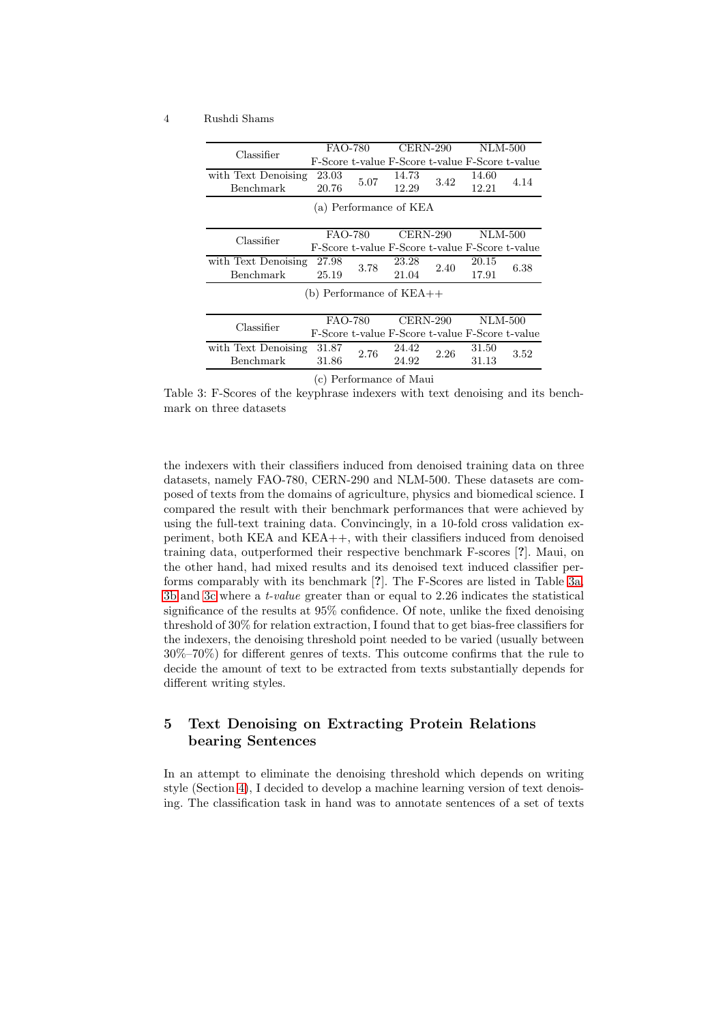#### <span id="page-3-0"></span>4 Rushdi Shams

<span id="page-3-1"></span>

| Classifier          | <b>FAO-780</b> |      | $CERN-290$                                      |      | NLM-500        |      |
|---------------------|----------------|------|-------------------------------------------------|------|----------------|------|
|                     |                |      | F-Score t-value F-Score t-value F-Score t-value |      |                |      |
| with Text Denoising | 23.03          | 5.07 | 14.73                                           | 3.42 | 14.60          | 4.14 |
| Benchmark           | 20.76          |      | 12.29                                           |      | 12.21          |      |
|                     |                |      | (a) Performance of KEA                          |      |                |      |
|                     |                |      |                                                 |      |                |      |
|                     | FAO-780        |      | $CERN-290$                                      |      | <b>NLM-500</b> |      |
| Classifier          |                |      | F-Score t-value F-Score t-value F-Score t-value |      |                |      |
| with Text Denoising | 27.98          | 3.78 | 23.28                                           | 2.40 | 20.15          | 6.38 |
| Benchmark           | 25.19          |      | 21.04                                           |      | 17.91          |      |
|                     |                |      | (b) Performance of $KEA++$                      |      |                |      |
|                     |                |      |                                                 |      |                |      |
|                     | FAO-780        |      | $CERN-290$                                      |      | <b>NLM-500</b> |      |
| Classifier          |                |      | F-Score t-value F-Score t-value F-Score t-value |      |                |      |
| with Text Denoising | 31.87          | 2.76 | 24.42                                           | 2.26 | 31.50          | 3.52 |
| Benchmark           | 31.86          |      | 24.92                                           |      | 31.13          |      |
|                     |                |      |                                                 |      |                |      |

(c) Performance of Maui

<span id="page-3-2"></span>Table 3: F-Scores of the keyphrase indexers with text denoising and its benchmark on three datasets

the indexers with their classifiers induced from denoised training data on three datasets, namely FAO-780, CERN-290 and NLM-500. These datasets are composed of texts from the domains of agriculture, physics and biomedical science. I compared the result with their benchmark performances that were achieved by using the full-text training data. Convincingly, in a 10-fold cross validation experiment, both KEA and KEA++, with their classifiers induced from denoised training data, outperformed their respective benchmark F-scores [?]. Maui, on the other hand, had mixed results and its denoised text induced classifier performs comparably with its benchmark [?]. The F-Scores are listed in Table [3a,](#page-3-0) [3b](#page-3-1) and [3c](#page-3-2) where a t-value greater than or equal to 2.26 indicates the statistical significance of the results at 95% confidence. Of note, unlike the fixed denoising threshold of 30% for relation extraction, I found that to get bias-free classifiers for the indexers, the denoising threshold point needed to be varied (usually between 30%–70%) for different genres of texts. This outcome confirms that the rule to decide the amount of text to be extracted from texts substantially depends for different writing styles.

# 5 Text Denoising on Extracting Protein Relations bearing Sentences

In an attempt to eliminate the denoising threshold which depends on writing style (Section [4\)](#page-2-3), I decided to develop a machine learning version of text denoising. The classification task in hand was to annotate sentences of a set of texts